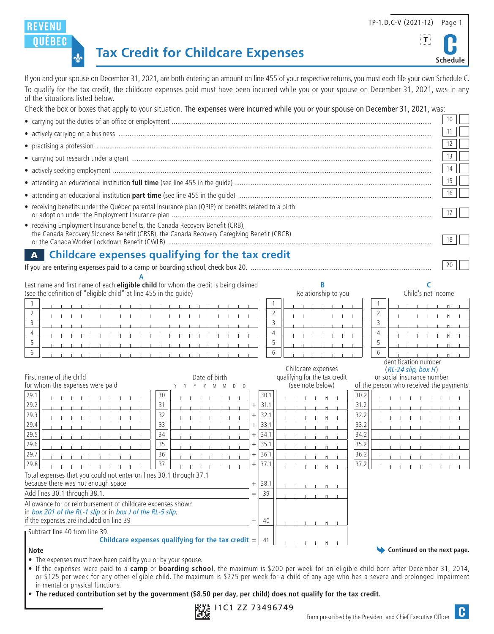# **Tax Credit for Childcare Expenses**

**REVENU OUEBEC** 

 $\frac{1}{2}$ 

If you and your spouse on December 31, 2021, are both entering an amount on line 455 of your respective returns, you must each file your own Schedule C. To qualify for the tax credit, the childcare expenses paid must have been incurred while you or your spouse on December 31, 2021, was in any of the situations listed below.

Check the box or boxes that apply to your situation. The expenses were incurred while you or your spouse on December 31, 2021, was:

|                                                                                                                                                                             |                |                                                   |                     | 10                                                                    |
|-----------------------------------------------------------------------------------------------------------------------------------------------------------------------------|----------------|---------------------------------------------------|---------------------|-----------------------------------------------------------------------|
|                                                                                                                                                                             |                |                                                   |                     | 11                                                                    |
|                                                                                                                                                                             |                |                                                   |                     | 12                                                                    |
|                                                                                                                                                                             |                |                                                   |                     | 13                                                                    |
|                                                                                                                                                                             |                |                                                   |                     | 14                                                                    |
|                                                                                                                                                                             |                |                                                   |                     | 15                                                                    |
|                                                                                                                                                                             |                |                                                   |                     | 16                                                                    |
| • receiving benefits under the Québec parental insurance plan (QPIP) or benefits related to a birth                                                                         |                |                                                   |                     | 17                                                                    |
| • receiving Employment Insurance benefits, the Canada Recovery Benefit (CRB),<br>the Canada Recovery Sickness Benefit (CRSB), the Canada Recovery Caregiving Benefit (CRCB) |                |                                                   |                     | 18                                                                    |
| <b>Childcare expenses qualifying for the tax credit</b><br>$\mathbf{A}$                                                                                                     |                |                                                   |                     |                                                                       |
|                                                                                                                                                                             |                |                                                   |                     | 20                                                                    |
|                                                                                                                                                                             |                |                                                   |                     |                                                                       |
| Last name and first name of each eligible child for whom the credit is being claimed<br>(see the definition of "eligible child" at line 455 in the guide)                   |                | B<br>Relationship to you                          |                     | Child's net income                                                    |
| 1                                                                                                                                                                           |                |                                                   |                     |                                                                       |
| $\overline{2}$                                                                                                                                                              |                | $\overline{2}$                                    | $\overline{2}$      |                                                                       |
| 3                                                                                                                                                                           |                | 3                                                 | 3                   |                                                                       |
| $\overline{4}$<br>5                                                                                                                                                         |                | $\overline{4}$<br>5                               | $\overline{4}$<br>5 |                                                                       |
| 6                                                                                                                                                                           |                | 6                                                 | 6                   |                                                                       |
|                                                                                                                                                                             |                |                                                   |                     | Identification number                                                 |
|                                                                                                                                                                             |                | Childcare expenses                                |                     | $(RL-24$ slip, box H)                                                 |
| First name of the child<br>Date of birth<br>for whom the expenses were paid<br>M<br><b>M</b><br>$\mathsf{D}$<br>D                                                           |                | qualifying for the tax credit<br>(see note below) |                     | or social insurance number<br>of the person who received the payments |
| 29.1<br>30                                                                                                                                                                  | 30.1           |                                                   | 30.2                |                                                                       |
| 31<br>29.2                                                                                                                                                                  | 31.1<br>$^{+}$ | $   \cdot   $                                     | 31.2                |                                                                       |
| 32<br>29.3                                                                                                                                                                  | 32.1<br>$^{+}$ | $\  \cdot \ $                                     | 32.2                |                                                                       |
| 33<br>29.4                                                                                                                                                                  | 33.1<br>$^{+}$ | $   \cdot   $                                     | 33.2                |                                                                       |
| 34<br>29.5                                                                                                                                                                  | 34.1<br>$^{+}$ | $   \cdot   $                                     | 34.2                |                                                                       |
| 35<br>29.6                                                                                                                                                                  | 35.1<br>$^{+}$ | $  \cdot  $                                       | 35.2                |                                                                       |
| 36<br>29.7                                                                                                                                                                  | 36.1<br>$^{+}$ | $\  \cdot \ $                                     | 36.2                |                                                                       |
| 37<br>29.8                                                                                                                                                                  | 37.1<br>$^{+}$ | $   \cdot   $                                     | 37.2                |                                                                       |
| Total expenses that you could not enter on lines 30.1 through 37.1<br>because there was not enough space                                                                    | $^+$<br>38.1   |                                                   |                     |                                                                       |
| Add lines 30.1 through 38.1.                                                                                                                                                | 39<br>$=$      | $\vert \cdot \vert$<br>$\perp$<br>$\Box$          |                     |                                                                       |
| Allowance for or reimbursement of childcare expenses shown                                                                                                                  |                | $   \cdot   $                                     |                     |                                                                       |
| in box 201 of the RL-1 slip or in box J of the RL-5 slip,                                                                                                                   |                |                                                   |                     |                                                                       |
| if the expenses are included on line 39                                                                                                                                     | 40             | $   \cdot   $                                     |                     |                                                                       |
| Subtract line 40 from line 39.<br>Childcare expenses qualifying for the tax credit $=$                                                                                      | -41            |                                                   |                     |                                                                       |
| <b>Note</b>                                                                                                                                                                 |                |                                                   |                     | Continued on the next page.                                           |

• The expenses must have been paid by you or by your spouse.

• If the expenses were paid to a **camp** or **boarding school**, the maximum is \$200 per week for an eligible child born after December 31, 2014, or \$125 per week for any other eligible child. The maximum is \$275 per week for a child of any age who has a severe and prolonged impairment in mental or physical functions.

• **The reduced contribution set by the government (\$8.50 per day, per child) does not qualify for the tax credit.**